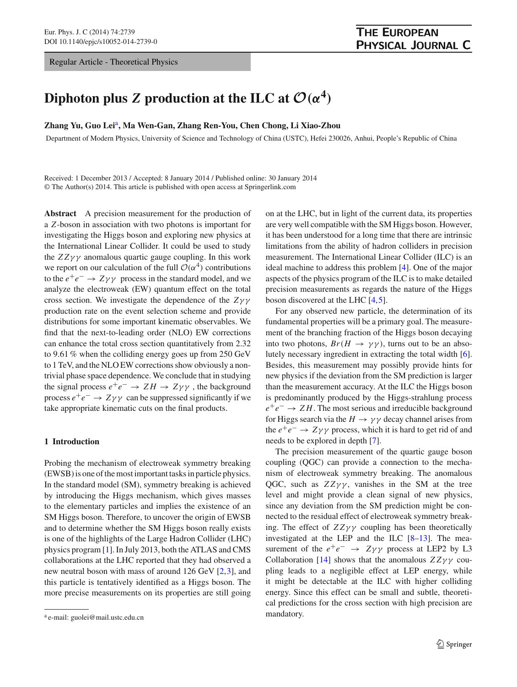Regular Article - Theoretical Physics

# **Diphoton plus** *Z* **production at the ILC at**  $\mathcal{O}(\alpha^4)$

# **Zhang Yu, Guo Lei**a**, Ma Wen-Gan, Zhang Ren-You, Chen Chong, Li Xiao-Zhou**

Department of Modern Physics, University of Science and Technology of China (USTC), Hefei 230026, Anhui, People's Republic of China

Received: 1 December 2013 / Accepted: 8 January 2014 / Published online: 30 January 2014 © The Author(s) 2014. This article is published with open access at Springerlink.com

**Abstract** A precision measurement for the production of a *Z*-boson in association with two photons is important for investigating the Higgs boson and exploring new physics at the International Linear Collider. It could be used to study the  $ZZ\gamma\gamma$  anomalous quartic gauge coupling. In this work we report on our calculation of the full  $\mathcal{O}(\alpha^4)$  contributions to the  $e^+e^- \rightarrow Z\gamma\gamma$  process in the standard model, and we analyze the electroweak (EW) quantum effect on the total cross section. We investigate the dependence of the *Z*γ γ production rate on the event selection scheme and provide distributions for some important kinematic observables. We find that the next-to-leading order (NLO) EW corrections can enhance the total cross section quantitatively from 2.32 to 9.61 % when the colliding energy goes up from 250 GeV to 1 TeV, and the NLO EW corrections show obviously a nontrivial phase space dependence. We conclude that in studying the signal process  $e^+e^- \rightarrow ZH \rightarrow Z\gamma\gamma$ , the background process  $e^+e^- \rightarrow Z\gamma\gamma$  can be suppressed significantly if we take appropriate kinematic cuts on the final products.

# **1 Introduction**

Probing the mechanism of electroweak symmetry breaking (EWSB) is one of the most important tasks in particle physics. In the standard model (SM), symmetry breaking is achieved by introducing the Higgs mechanism, which gives masses to the elementary particles and implies the existence of an SM Higgs boson. Therefore, to uncover the origin of EWSB and to determine whether the SM Higgs boson really exists is one of the highlights of the Large Hadron Collider (LHC) physics program [\[1](#page-7-0)]. In July 2013, both the ATLAS and CMS collaborations at the LHC reported that they had observed a new neutral boson with mass of around 126 GeV [\[2](#page-7-1)[,3](#page-7-2)], and this particle is tentatively identified as a Higgs boson. The more precise measurements on its properties are still going on at the LHC, but in light of the current data, its properties are very well compatible with the SM Higgs boson. However, it has been understood for a long time that there are intrinsic limitations from the ability of hadron colliders in precision measurement. The International Linear Collider (ILC) is an ideal machine to address this problem [\[4](#page-7-3)]. One of the major aspects of the physics program of the ILC is to make detailed precision measurements as regards the nature of the Higgs boson discovered at the LHC [\[4](#page-7-3)[,5](#page-7-4)].

For any observed new particle, the determination of its fundamental properties will be a primary goal. The measurement of the branching fraction of the Higgs boson decaying into two photons,  $Br(H \to \gamma \gamma)$ , turns out to be an absolutely necessary ingredient in extracting the total width [\[6](#page-7-5)]. Besides, this measurement may possibly provide hints for new physics if the deviation from the SM prediction is larger than the measurement accuracy. At the ILC the Higgs boson is predominantly produced by the Higgs-strahlung process *e*+*e*<sup>−</sup> → *Z H*. The most serious and irreducible background for Higgs search via the  $H \to \gamma \gamma$  decay channel arises from the  $e^+e^- \rightarrow Z\gamma\gamma$  process, which it is hard to get rid of and needs to be explored in depth [\[7\]](#page-7-6).

The precision measurement of the quartic gauge boson coupling (QGC) can provide a connection to the mechanism of electroweak symmetry breaking. The anomalous QGC, such as  $ZZ\gamma\gamma$ , vanishes in the SM at the tree level and might provide a clean signal of new physics, since any deviation from the SM prediction might be connected to the residual effect of electroweak symmetry breaking. The effect of  $ZZ\gamma\gamma$  coupling has been theoretically investigated at the LEP and the ILC [\[8](#page-7-7)[–13\]](#page-7-8). The measurement of the  $e^+e^ \rightarrow$   $Z\gamma\gamma$  process at LEP2 by L3 Collaboration [\[14\]](#page-7-9) shows that the anomalous  $ZZ\gamma\gamma$  coupling leads to a negligible effect at LEP energy, while it might be detectable at the ILC with higher colliding energy. Since this effect can be small and subtle, theoretical predictions for the cross section with high precision are mandatory.

<sup>a</sup> e-mail: guolei@mail.ustc.edu.cn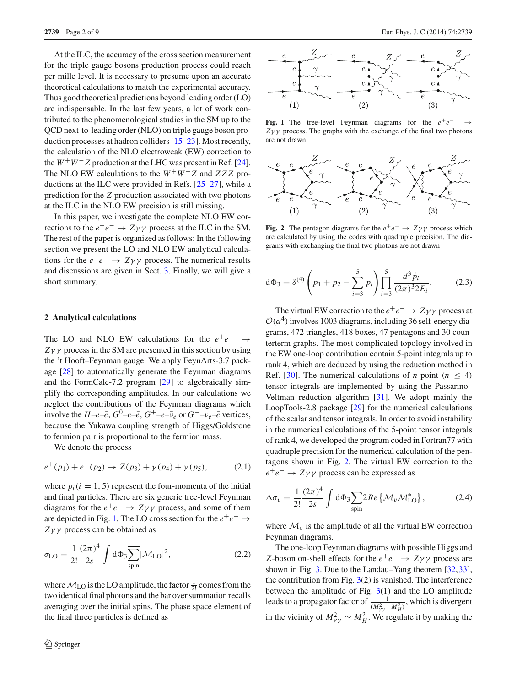At the ILC, the accuracy of the cross section measurement for the triple gauge bosons production process could reach per mille level. It is necessary to presume upon an accurate theoretical calculations to match the experimental accuracy. Thus good theoretical predictions beyond leading order (LO) are indispensable. In the last few years, a lot of work contributed to the phenomenological studies in the SM up to the QCD next-to-leading order (NLO) on triple gauge boson production processes at hadron colliders [\[15](#page-7-11)[–23](#page-7-12)]. Most recently, the calculation of the NLO electroweak (EW) correction to the  $W^+W^-Z$  production at the LHC was present in Ref. [\[24](#page-7-13)]. The NLO EW calculations to the *W*+*W*− *Z* and *ZZZ* productions at the ILC were provided in Refs. [\[25](#page-7-14)[–27\]](#page-7-15), while a prediction for the *Z* production associated with two photons at the ILC in the NLO EW precision is still missing.

In this paper, we investigate the complete NLO EW corrections to the  $e^+e^- \rightarrow Z\gamma\gamma$  process at the ILC in the SM. The rest of the paper is organized as follows: In the following section we present the LO and NLO EW analytical calculations for the  $e^+e^- \rightarrow Z\gamma\gamma$  process. The numerical results and discussions are given in Sect. [3.](#page-2-0) Finally, we will give a short summary.

#### **2 Analytical calculations**

The LO and NLO EW calculations for the  $e^+e^-$ *Z*γ γ process in the SM are presented in this section by using the 't Hooft–Feynman gauge. We apply FeynArts-3.7 package [\[28\]](#page-7-16) to automatically generate the Feynman diagrams and the FormCalc-7.2 program [\[29\]](#page-7-17) to algebraically simplify the corresponding amplitudes. In our calculations we neglect the contributions of the Feynman diagrams which involve the  $H-e-\bar{e}$ ,  $G^0-e-\bar{e}$ ,  $G^+-e-\bar{\nu}_e$  or  $G^-\nu_e-\bar{e}$  vertices, because the Yukawa coupling strength of Higgs/Goldstone to fermion pair is proportional to the fermion mass.

We denote the process

$$
e^+(p_1) + e^-(p_2) \to Z(p_3) + \gamma(p_4) + \gamma(p_5), \tag{2.1}
$$

where  $p_i(i = 1, 5)$  represent the four-momenta of the initial and final particles. There are six generic tree-level Feynman diagrams for the  $e^+e^- \rightarrow Z\gamma\gamma$  process, and some of them are depicted in Fig. [1.](#page-1-0) The LO cross section for the  $e^+e^- \rightarrow$ *Z*γ γ process can be obtained as

$$
\sigma_{LO} = \frac{1}{2!} \frac{(2\pi)^4}{2s} \int d\Phi_3 \overline{\sum_{spin}} |\mathcal{M}_{LO}|^2,
$$
 (2.2)

where  $M_{\text{LO}}$  is the LO amplitude, the factor  $\frac{1}{2!}$  comes from the two identical final photons and the bar over summation recalls averaging over the initial spins. The phase space element of the final three particles is defined as



<span id="page-1-0"></span>**Fig. 1** The tree-level Feynman diagrams for the  $e^+e^ Z\gamma\gamma$  process. The graphs with the exchange of the final two photons are not drawn



<span id="page-1-1"></span>**Fig. 2** The pentagon diagrams for the  $e^+e^- \rightarrow Z\gamma\gamma$  process which are calculated by using the codes with quadruple precision. The diagrams with exchanging the final two photons are not drawn

$$
d\Phi_3 = \delta^{(4)}\left(p_1 + p_2 - \sum_{i=3}^5 p_i\right) \prod_{i=3}^5 \frac{d^3 \vec{p}_i}{(2\pi)^3 2E_i}.
$$
 (2.3)

The virtual EW correction to the  $e^+e^- \rightarrow Z\gamma\gamma$  process at  $\mathcal{O}(\alpha^4)$  involves 1003 diagrams, including 36 self-energy diagrams, 472 triangles, 418 boxes, 47 pentagons and 30 counterterm graphs. The most complicated topology involved in the EW one-loop contribution contain 5-point integrals up to rank 4, which are deduced by using the reduction method in Ref. [\[30](#page-7-18)]. The numerical calculations of *n*-point ( $n < 4$ ) tensor integrals are implemented by using the Passarino– Veltman reduction algorithm [\[31\]](#page-7-19). We adopt mainly the LoopTools-2.8 package [\[29](#page-7-17)] for the numerical calculations of the scalar and tensor integrals. In order to avoid instability in the numerical calculations of the 5-point tensor integrals of rank 4, we developed the program coded in Fortran77 with quadruple precision for the numerical calculation of the pentagons shown in Fig. [2.](#page-1-1) The virtual EW correction to the *e*+*e*<sup>−</sup> → *Z*γ γ process can be expressed as

$$
\Delta \sigma_v = \frac{1}{2!} \frac{(2\pi)^4}{2s} \int d\Phi_3 \overline{\sum_{\text{spin}}} 2Re \left\{ \mathcal{M}_v \mathcal{M}_{\text{LO}}^* \right\},\tag{2.4}
$$

where  $\mathcal{M}_v$  is the amplitude of all the virtual EW correction Feynman diagrams.

The one-loop Feynman diagrams with possible Higgs and *Z*-boson on-shell effects for the  $e^+e^ \rightarrow$  *Z*γγ process are shown in Fig. [3.](#page-2-1) Due to the Landau–Yang theorem [\[32](#page-7-20)[,33](#page-8-0)], the contribution from Fig.  $3(2)$  $3(2)$  is vanished. The interference between the amplitude of Fig. [3\(](#page-2-1)1) and the LO amplitude leads to a propagator factor of  $\frac{1}{(M_{\gamma\gamma}^2 - M_H^2)}$ , which is divergent in the vicinity of  $M_{\gamma\gamma}^2 \sim M_H^2$ . We regulate it by making the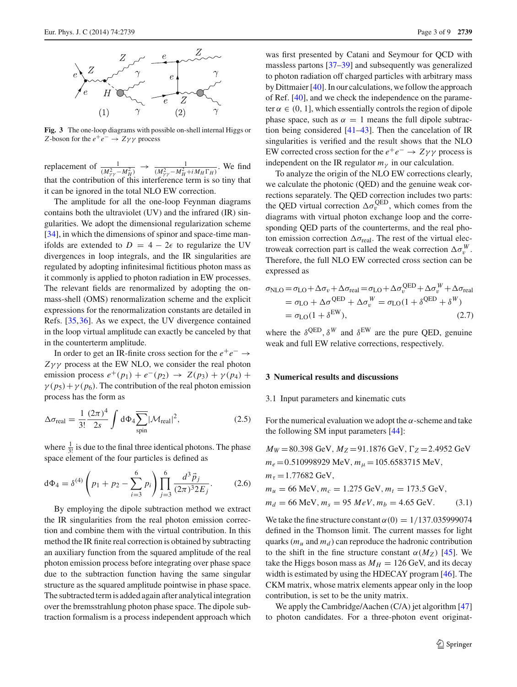

<span id="page-2-1"></span>**Fig. 3** The one-loop diagrams with possible on-shell internal Higgs or *Z*-boson for the  $e^+e^- \rightarrow Z\gamma\gamma$  process

replacement of  $\frac{1}{(M_{\gamma\gamma}^2 - M_H^2)} \rightarrow \frac{1}{(M_{\gamma\gamma}^2 - M_H^2 + iM_H\Gamma_H)}$ . We find that the contribution of this interference term is so tiny that it can be ignored in the total NLO EW correction.

The amplitude for all the one-loop Feynman diagrams contains both the ultraviolet (UV) and the infrared (IR) singularities. We adopt the dimensional regularization scheme [\[34](#page-8-1)], in which the dimensions of spinor and space-time manifolds are extended to  $D = 4 - 2\epsilon$  to regularize the UV divergences in loop integrals, and the IR singularities are regulated by adopting infinitesimal fictitious photon mass as it commonly is applied to photon radiation in EW processes. The relevant fields are renormalized by adopting the onmass-shell (OMS) renormalization scheme and the explicit expressions for the renormalization constants are detailed in Refs. [\[35](#page-8-2),[36](#page-8-3)]. As we expect, the UV divergence contained in the loop virtual amplitude can exactly be canceled by that in the counterterm amplitude.

In order to get an IR-finite cross section for the *e*+*e*<sup>−</sup> → *Z*γ γ process at the EW NLO, we consider the real photon emission process  $e^+(p_1) + e^-(p_2) \to Z(p_3) + \gamma(p_4) + \gamma(p_5)$  $\gamma(p_5) + \gamma(p_6)$ . The contribution of the real photon emission process has the form as

$$
\Delta \sigma_{\text{real}} = \frac{1}{3!} \frac{(2\pi)^4}{2s} \int d\Phi_4 \overline{\sum_{\text{spin}}} |\mathcal{M}_{\text{real}}|^2, \tag{2.5}
$$

where  $\frac{1}{3!}$  is due to the final three identical photons. The phase space element of the four particles is defined as

$$
d\Phi_4 = \delta^{(4)}\left(p_1 + p_2 - \sum_{i=3}^6 p_i\right) \prod_{j=3}^6 \frac{d^3 \vec{p}_j}{(2\pi)^3 2E_j}.
$$
 (2.6)

By employing the dipole subtraction method we extract the IR singularities from the real photon emission correction and combine them with the virtual contribution. In this method the IR finite real correction is obtained by subtracting an auxiliary function from the squared amplitude of the real photon emission process before integrating over phase space due to the subtraction function having the same singular structure as the squared amplitude pointwise in phase space. The subtracted term is added again after analytical integration over the bremsstrahlung photon phase space. The dipole subtraction formalism is a process independent approach which

was first presented by Catani and Seymour for QCD with massless partons [\[37](#page-8-4)[–39](#page-8-5)] and subsequently was generalized to photon radiation off charged particles with arbitrary mass by Dittmaier [\[40](#page-8-6)]. In our calculations, we follow the approach of Ref. [\[40](#page-8-6)], and we check the independence on the parameter  $\alpha \in (0, 1]$ , which essentially controls the region of dipole phase space, such as  $\alpha = 1$  means the full dipole subtraction being considered [\[41](#page-8-7)[–43](#page-8-8)]. Then the cancelation of IR singularities is verified and the result shows that the NLO EW corrected cross section for the  $e^+e^- \rightarrow Z\gamma\gamma$  process is independent on the IR regulator  $m<sub>v</sub>$  in our calculation.

To analyze the origin of the NLO EW corrections clearly, we calculate the photonic (QED) and the genuine weak corrections separately. The QED correction includes two parts: the QED virtual correction  $\Delta \sigma_v^{\text{QED}}$ , which comes from the diagrams with virtual photon exchange loop and the corresponding QED parts of the counterterms, and the real photon emission correction  $\Delta \sigma_{\text{real}}$ . The rest of the virtual electroweak correction part is called the weak correction  $\Delta \sigma_v^W$ . Therefore, the full NLO EW corrected cross section can be expressed as

$$
\sigma_{\rm NLO} = \sigma_{\rm LO} + \Delta \sigma_v + \Delta \sigma_{\rm real} = \sigma_{\rm LO} + \Delta \sigma_v^{\rm QED} + \Delta \sigma_v^{\rm W} + \Delta \sigma_{\rm real}
$$
  
=  $\sigma_{\rm LO} + \Delta \sigma^{\rm QED} + \Delta \sigma_v^{\rm W} = \sigma_{\rm LO} (1 + \delta^{\rm QED} + \delta^{\rm W})$   
=  $\sigma_{\rm LO} (1 + \delta^{\rm EW}),$  (2.7)

where the  $\delta^{QED}$ ,  $\delta^{W}$  and  $\delta^{EW}$  are the pure QED, genuine weak and full EW relative corrections, respectively.

# <span id="page-2-0"></span>**3 Numerical results and discussions**

#### 3.1 Input parameters and kinematic cuts

For the numerical evaluation we adopt the  $\alpha$ -scheme and take the following SM input parameters [\[44](#page-8-9)]:

$$
M_W = 80.398 \text{ GeV}, M_Z = 91.1876 \text{ GeV}, \Gamma_Z = 2.4952 \text{ GeV}
$$
  
\n
$$
m_e = 0.510998929 \text{ MeV}, m_\mu = 105.6583715 \text{ MeV},
$$
  
\n
$$
m_\tau = 1.77682 \text{ GeV},
$$
  
\n
$$
m_u = 66 \text{ MeV}, m_c = 1.275 \text{ GeV}, m_t = 173.5 \text{ GeV},
$$
  
\n
$$
m_d = 66 \text{ MeV}, m_s = 95 \text{ MeV}, m_b = 4.65 \text{ GeV}.
$$
 (3.1)

We take the fine structure constant  $\alpha(0) = 1/137.035999074$ defined in the Thomson limit. The current masses for light quarks  $(m_u$  and  $m_d$ ) can reproduce the hadronic contribution to the shift in the fine structure constant  $\alpha(M_Z)$  [\[45\]](#page-8-10). We take the Higgs boson mass as  $M_H = 126$  GeV, and its decay width is estimated by using the HDECAY program [\[46\]](#page-8-11). The CKM matrix, whose matrix elements appear only in the loop contribution, is set to be the unity matrix.

We apply the Cambridge/Aachen (C/A) jet algorithm [\[47\]](#page-8-12) to photon candidates. For a three-photon event originat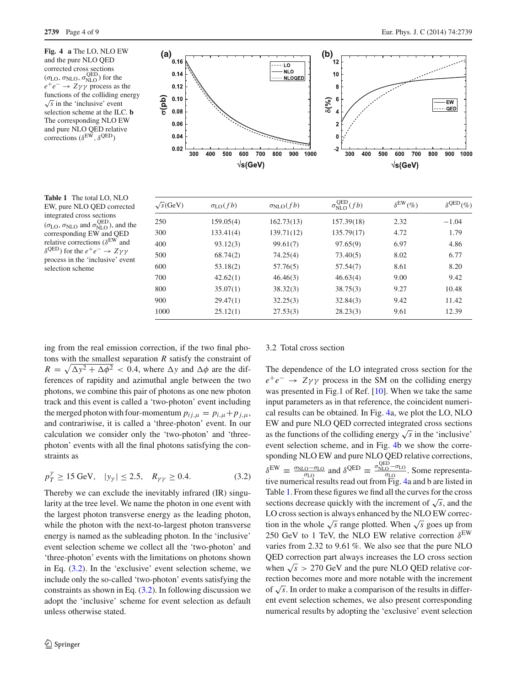<span id="page-3-1"></span>**Fig. 4 a** The LO, NLO EW and the pure NLO QED corrected cross sections  $(\sigma_{\text{LO}}, \sigma_{\text{NLO}}, \sigma_{\text{NLO}}^{\text{QED}})$  for the  $e^+e^- \rightarrow Z\gamma\gamma$  process as the functions of the colliding energy  $\sqrt{s}$  in the 'inclusive' event selection scheme at the ILC. **b** The corresponding NLO EW and pure NLO QED relative corrections ( $\delta^{\text{EW}}, \delta^{\text{QED}}$ )



<span id="page-3-2"></span>**Table 1** The total LO, NLO EW, pure NLO QED corrected integrated cross sections  $(\sigma_{\text{LO}}, \sigma_{\text{NLO}})$  and  $\sigma_{\text{NLO}}^{\text{QED}}$ ), and the corresponding EW and QED relative corrections ( $\delta^{\rm EW}$  and  $δ$ <sup>QED</sup>) for the *e*<sup>+</sup>*e*<sup>−</sup> → *Zγγ* process in the 'inclusive' event selection scheme

| $\sqrt{s}$ (GeV) | $\sigma_{LO}(fb)$ | $\sigma_{\text{NLO}}(fb)$ | $\sigma_{\text{NLO}}^{\text{QED}}(fb)$ | $\delta^{\text{EW}}(\%)$ | $\delta^{\text{QED}}(\% )$ |
|------------------|-------------------|---------------------------|----------------------------------------|--------------------------|----------------------------|
| 250              | 159.05(4)         | 162.73(13)                | 157.39(18)                             | 2.32                     | $-1.04$                    |
| 300              | 133.41(4)         | 139.71(12)                | 135.79(17)                             | 4.72                     | 1.79                       |
| 400              | 93.12(3)          | 99.61(7)                  | 97.65(9)                               | 6.97                     | 4.86                       |
| 500              | 68.74(2)          | 74.25(4)                  | 73.40(5)                               | 8.02                     | 6.77                       |
| 600              | 53.18(2)          | 57.76(5)                  | 57.54(7)                               | 8.61                     | 8.20                       |
| 700              | 42.62(1)          | 46.46(3)                  | 46.63(4)                               | 9.00                     | 9.42                       |
| 800              | 35.07(1)          | 38.32(3)                  | 38.75(3)                               | 9.27                     | 10.48                      |
| 900              | 29.47(1)          | 32.25(3)                  | 32.84(3)                               | 9.42                     | 11.42                      |
| 1000             | 25.12(1)          | 27.53(3)                  | 28.23(3)                               | 9.61                     | 12.39                      |

ing from the real emission correction, if the two final photons with the smallest separation *R* satisfy the constraint of  $R = \sqrt{\Delta y^2 + \Delta \phi^2} < 0.4$ , where  $\Delta y$  and  $\Delta \phi$  are the differences of rapidity and azimuthal angle between the two photons, we combine this pair of photons as one new photon track and this event is called a 'two-photon' event including the merged photon with four-momentum  $p_{ij,\mu} = p_{i,\mu} + p_{j,\mu}$ , and contrariwise, it is called a 'three-photon' event. In our calculation we consider only the 'two-photon' and 'threephoton' events with all the final photons satisfying the constraints as

<span id="page-3-0"></span>
$$
p_T^{\gamma} \ge 15 \text{ GeV}, \quad |y_{\gamma}| \le 2.5, \quad R_{\gamma\gamma} \ge 0.4. \tag{3.2}
$$

Thereby we can exclude the inevitably infrared (IR) singularity at the tree level. We name the photon in one event with the largest photon transverse energy as the leading photon, while the photon with the next-to-largest photon transverse energy is named as the subleading photon. In the 'inclusive' event selection scheme we collect all the 'two-photon' and 'three-photon' events with the limitations on photons shown in Eq. [\(3.2\)](#page-3-0). In the 'exclusive' event selection scheme, we include only the so-called 'two-photon' events satisfying the constraints as shown in Eq.  $(3.2)$ . In following discussion we adopt the 'inclusive' scheme for event selection as default unless otherwise stated.

### 3.2 Total cross section

The dependence of the LO integrated cross section for the  $e^+e^-$  →  $Z\gamma\gamma$  process in the SM on the colliding energy was presented in Fig.1 of Ref. [\[10\]](#page-7-21). When we take the same input parameters as in that reference, the coincident numerical results can be obtained. In Fig. [4a](#page-3-1), we plot the LO, NLO EW and pure NLO QED corrected integrated cross sections as the functions of the colliding energy  $\sqrt{s}$  in the 'inclusive' event selection scheme, and in Fig. [4b](#page-3-1) we show the corresponding NLO EW and pure NLO QED relative corrections,  $\delta^{\text{EW}} \equiv \frac{\sigma_{\text{NLO}} - \sigma_{\text{LO}}}{\sigma_{\text{LO}}}$  and  $\delta^{\text{QED}} \equiv \frac{\sigma_{\text{NLO}}^{\text{QED}} - \sigma_{\text{LO}}}{\sigma_{\text{LO}}}$ . Some representative numerical results read out from Fig. [4a](#page-3-1) and b are listed in Table [1.](#page-3-2) From these figures we find all the curves for the cross sections decrease quickly with the increment of  $\sqrt{s}$ , and the LO cross section is always enhanced by the NLO EW correction in the whole  $\sqrt{s}$  range plotted. When  $\sqrt{s}$  goes up from 250 GeV to 1 TeV, the NLO EW relative correction  $\delta^{\text{EW}}$ varies from 2.32 to 9.61 %. We also see that the pure NLO QED correction part always increases the LO cross section when  $\sqrt{s}$  > 270 GeV and the pure NLO QED relative correction becomes more and more notable with the increment of <sup>√</sup>*s*. In order to make a comparison of the results in different event selection schemes, we also present corresponding numerical results by adopting the 'exclusive' event selection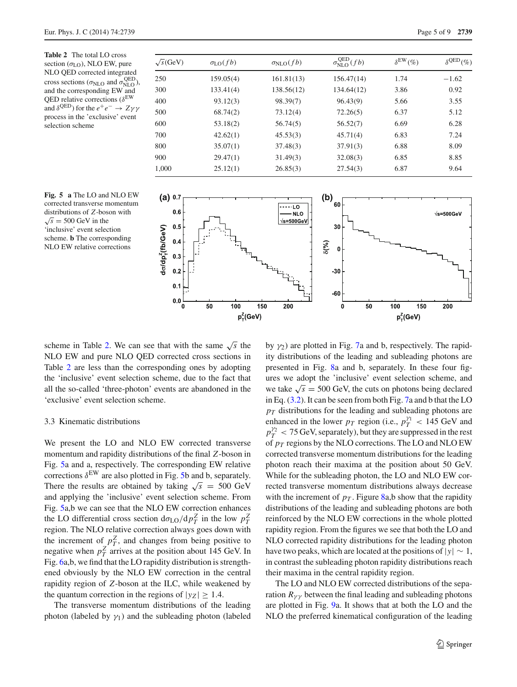<span id="page-4-0"></span>**Table 2** The total LO cross section  $(\sigma_{LO})$ , NLO EW, pure NLO QED corrected integrated cross sections ( $\sigma_{\text{NLO}}$  and  $\sigma_{\text{NLO}}^{\text{QED}}$ ), and the corresponding EW and QED relative corrections ( $\delta^{\text{EW}}$ and  $\delta^{QED}$ ) for the  $e^+e^- \rightarrow Z\gamma\gamma$ process in the 'exclusive' event selection scheme

<span id="page-4-1"></span>

| $\sqrt{s}$ (GeV) | $\sigma_{LO}(fb)$ | $\sigma_{\text{NLO}}(fb)$ | $\sigma_{\text{NLO}}^{\text{QED}}(fb)$ | $\delta^{\text{EW}}(\%)$ | $\delta^{\text{QED}}(\% )$ |
|------------------|-------------------|---------------------------|----------------------------------------|--------------------------|----------------------------|
| 250              | 159.05(4)         | 161.81(13)                | 156.47(14)                             | 1.74                     | $-1.62$                    |
| 300              | 133.41(4)         | 138.56(12)                | 134.64(12)                             | 3.86                     | 0.92                       |
| 400              | 93.12(3)          | 98.39(7)                  | 96.43(9)                               | 5.66                     | 3.55                       |
| 500              | 68.74(2)          | 73.12(4)                  | 72.26(5)                               | 6.37                     | 5.12                       |
| 600              | 53.18(2)          | 56.74(5)                  | 56.52(7)                               | 6.69                     | 6.28                       |
| 700              | 42.62(1)          | 45.53(3)                  | 45.71(4)                               | 6.83                     | 7.24                       |
| 800              | 35.07(1)          | 37.48(3)                  | 37.91(3)                               | 6.88                     | 8.09                       |
| 900              | 29.47(1)          | 31.49(3)                  | 32.08(3)                               | 6.85                     | 8.85                       |
| 1.000            | 25.12(1)          | 26.85(3)                  | 27.54(3)                               | 6.87                     | 9.64                       |



scheme in Table [2.](#page-4-0) We can see that with the same  $\sqrt{s}$  the NLO EW and pure NLO QED corrected cross sections in Table [2](#page-4-0) are less than the corresponding ones by adopting the 'inclusive' event selection scheme, due to the fact that all the so-called 'three-photon' events are abandoned in the 'exclusive' event selection scheme.

# 3.3 Kinematic distributions

We present the LO and NLO EW corrected transverse momentum and rapidity distributions of the final *Z*-boson in Fig. [5a](#page-4-1) and a, respectively. The corresponding EW relative corrections  $\delta^{EW}$  are also plotted in Fig. [5b](#page-4-1) and b, separately. There the results are obtained by taking  $\sqrt{s}$  = 500 GeV and applying the 'inclusive' event selection scheme. From Fig. [5a](#page-4-1),b we can see that the NLO EW correction enhances the LO differential cross section  $d\sigma_{LO}/dp_T^Z$  in the low  $p_T^Z$ region. The NLO relative correction always goes down with the increment of  $p_T^Z$ , and changes from being positive to negative when  $p_T^Z$  arrives at the position about 145 GeV. In Fig. [6a](#page-5-0),b, we find that the LO rapidity distribution is strengthened obviously by the NLO EW correction in the central rapidity region of *Z*-boson at the ILC, while weakened by the quantum correction in the regions of  $|y_Z| \geq 1.4$ .

The transverse momentum distributions of the leading photon (labeled by  $\gamma_1$ ) and the subleading photon (labeled

by  $\gamma_2$ ) are plotted in Fig. [7a](#page-5-1) and b, respectively. The rapidity distributions of the leading and subleading photons are presented in Fig. [8a](#page-5-2) and b, separately. In these four figures we adopt the 'inclusive' event selection scheme, and we take  $\sqrt{s}$  = 500 GeV, the cuts on photons being declared in Eq. [\(3.2\)](#page-3-0). It can be seen from both Fig. [7a](#page-5-1) and b that the LO  $p_T$  distributions for the leading and subleading photons are enhanced in the lower  $p_T$  region (i.e.,  $p_T^{\gamma_1} < 145 \text{ GeV}$  and  $p_T^{\gamma_2}$  < 75 GeV, separately), but they are suppressed in the rest of *pT* regions by the NLO corrections. The LO and NLO EW corrected transverse momentum distributions for the leading photon reach their maxima at the position about 50 GeV. While for the subleading photon, the LO and NLO EW corrected transverse momentum distributions always decrease with the increment of  $p<sub>T</sub>$ . Figure [8a](#page-5-2),b show that the rapidity distributions of the leading and subleading photons are both reinforced by the NLO EW corrections in the whole plotted rapidity region. From the figures we see that both the LO and NLO corrected rapidity distributions for the leading photon have two peaks, which are located at the positions of  $|y| \sim 1$ , in contrast the subleading photon rapidity distributions reach their maxima in the central rapidity region.

The LO and NLO EW corrected distributions of the separation  $R_{\gamma\gamma}$  between the final leading and subleading photons are plotted in Fig. [9a](#page-5-3). It shows that at both the LO and the NLO the preferred kinematical configuration of the leading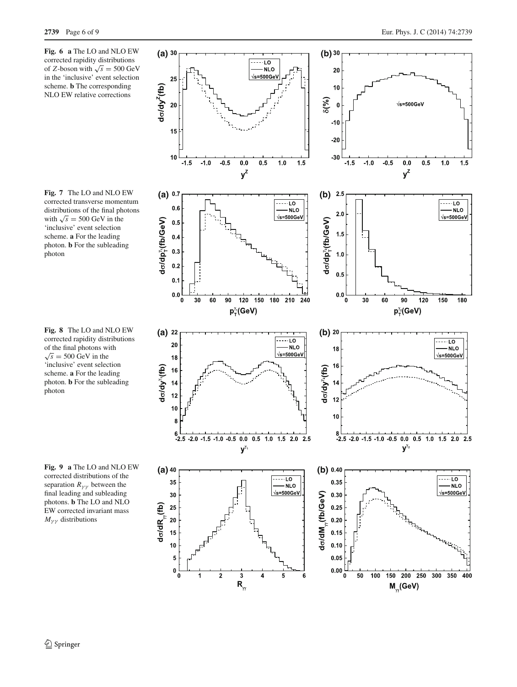<span id="page-5-0"></span>

<span id="page-5-1"></span>**Fig. 7** The LO and NLO EW corrected transverse momentum distributions of the final photons with  $\sqrt{s}$  = 500 GeV in the 'inclusive' event selection scheme. **a** For the leading photon. **b** For the subleading photon

<span id="page-5-2"></span>**Fig. 8** The LO and NLO EW corrected rapidity distributions of the final photons with  $\sqrt{s}$  = 500 GeV in the 'inclusive' event selection scheme. **a** For the leading photon. **b** For the subleading photon

<span id="page-5-3"></span>**Fig. 9 a** The LO and NLO EW corrected distributions of the separation  $R_{\gamma\gamma}$  between the final leading and subleading photons. **b** The LO and NLO EW corrected invariant mass  $M_{\gamma\gamma}$  distributions

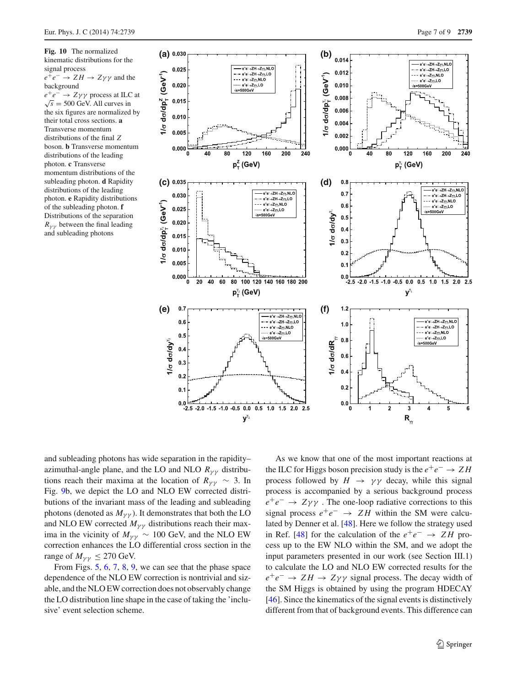<span id="page-6-0"></span>**Fig. 10** The normalized kinematic distributions for the signal process  $e^+e^- \rightarrow ZH \rightarrow Z\gamma\gamma$  and the background *e*+*e*<sup>−</sup> → *Z*γ γ process at ILC at  $\sqrt{s}$  = 500 GeV. All curves in the six figures are normalized by their total cross sections. **a** Transverse momentum distributions of the final *Z* boson. **b** Transverse momentum distributions of the leading photon. **c** Transverse momentum distributions of the subleading photon. **d** Rapidity distributions of the leading photon. **e** Rapidity distributions of the subleading photon. **f** Distributions of the separation  $R_{\nu\nu}$  between the final leading and subleading photons



and subleading photons has wide separation in the rapidity– azimuthal-angle plane, and the LO and NLO  $R_{\gamma\gamma}$  distributions reach their maxima at the location of  $R_{\gamma\gamma} \sim 3$ . In Fig. [9b](#page-5-3), we depict the LO and NLO EW corrected distributions of the invariant mass of the leading and subleading photons (denoted as  $M_{\gamma\gamma}$ ). It demonstrates that both the LO and NLO EW corrected  $M_{\gamma\gamma}$  distributions reach their maxima in the vicinity of  $M_{\gamma\gamma} \sim 100$  GeV, and the NLO EW correction enhances the LO differential cross section in the range of  $M_{\nu\nu} \leq 270$  GeV.

From Figs. [5,](#page-4-1) [6,](#page-5-0) [7,](#page-5-1) [8,](#page-5-2) [9,](#page-5-3) we can see that the phase space dependence of the NLO EW correction is nontrivial and sizable, and the NLO EW correction does not observably change the LO distribution line shape in the case of taking the 'inclusive' event selection scheme.

As we know that one of the most important reactions at the ILC for Higgs boson precision study is the  $e^+e^- \rightarrow ZH$ process followed by  $H \rightarrow \gamma \gamma$  decay, while this signal process is accompanied by a serious background process  $e^+e^-$  →  $Z\gamma\gamma$ . The one-loop radiative corrections to this signal process *e*+*e*<sup>−</sup> → *Z H* within the SM were calculated by Denner et al. [\[48](#page-8-13)]. Here we follow the strategy used in Ref. [\[48](#page-8-13)] for the calculation of the  $e^+e^- \rightarrow ZH$  process up to the EW NLO within the SM, and we adopt the input parameters presented in our work (see Section III.1) to calculate the LO and NLO EW corrected results for the  $e^+e^-$  →  $ZH$  →  $Z\gamma\gamma$  signal process. The decay width of the SM Higgs is obtained by using the program HDECAY [\[46](#page-8-11)]. Since the kinematics of the signal events is distinctively different from that of background events. This difference can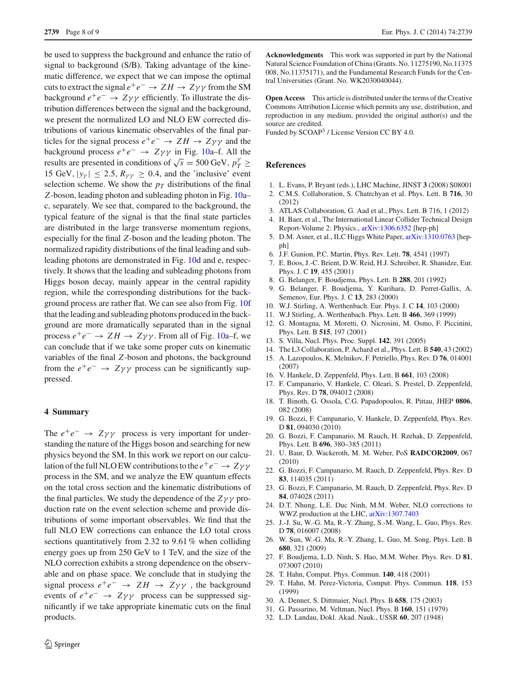be used to suppress the background and enhance the ratio of signal to background (S/B). Taking advantage of the kinematic difference, we expect that we can impose the optimal cuts to extract the signal  $e^+e^- \rightarrow ZH \rightarrow Z\gamma\gamma$  from the SM background  $e^+e^- \rightarrow Z\gamma\gamma$  efficiently. To illustrate the distribution differences between the signal and the background, we present the normalized LO and NLO EW corrected distributions of various kinematic observables of the final particles for the signal process  $e^+e^- \rightarrow ZH \rightarrow Z\gamma\gamma$  and the background process  $e^+e^- \rightarrow Z\gamma\gamma$  in Fig. [10a](#page-6-0)–f. All the results are presented in conditions of  $\sqrt{s} = 500 \text{ GeV}, p_T^{\gamma} \ge$ 15 GeV,  $|y_{\gamma}| \le 2.5$ ,  $R_{\gamma\gamma} \ge 0.4$ , and the 'inclusive' event selection scheme. We show the  $p<sub>T</sub>$  distributions of the final *Z*-boson, leading photon and subleading photon in Fig. [10a](#page-6-0)– c, separately. We see that, compared to the background, the typical feature of the signal is that the final state particles are distributed in the large transverse momentum regions, especially for the final *Z*-boson and the leading photon. The normalized rapidity distributions of the final leading and subleading photons are demonstrated in Fig. [10d](#page-6-0) and e, respectively. It shows that the leading and subleading photons from Higgs boson decay, mainly appear in the central rapidity region, while the corresponding distributions for the background process are rather flat. We can see also from Fig. [10f](#page-6-0) that the leading and subleading photons produced in the background are more dramatically separated than in the signal process  $e^+e^- \rightarrow ZH \rightarrow Z\gamma\gamma$ . From all of Fig. [10a](#page-6-0)–f, we can conclude that if we take some proper cuts on kinematic variables of the final *Z*-boson and photons, the background from the  $e^+e^- \rightarrow Z\gamma\gamma$  process can be significantly suppressed.

# **4 Summary**

The  $e^+e^ \rightarrow$  *Zyy* process is very important for understanding the nature of the Higgs boson and searching for new physics beyond the SM. In this work we report on our calculation of the full NLO EW contributions to the  $e^+e^- \rightarrow Z\gamma\gamma$ process in the SM, and we analyze the EW quantum effects on the total cross section and the kinematic distributions of the final particles. We study the dependence of the  $Z\gamma\gamma$  production rate on the event selection scheme and provide distributions of some important observables. We find that the full NLO EW corrections can enhance the LO total cross sections quantitatively from 2.32 to 9.61 % when colliding energy goes up from 250 GeV to 1 TeV, and the size of the NLO correction exhibits a strong dependence on the observable and on phase space. We conclude that in studying the signal process  $e^+e^- \rightarrow ZH \rightarrow Z\gamma\gamma$ , the background events of  $e^+e^ \rightarrow$   $Z\gamma\gamma$  process can be suppressed significantly if we take appropriate kinematic cuts on the final products.

 $\mathcal{D}$  Springer

**Acknowledgments** This work was supported in part by the National Natural Science Foundation of China (Grants. No. 11275190, No.11375 008, No.11375171), and the Fundamental Research Funds for the Central Universities (Grant. No. WK2030040044).

**Open Access** This article is distributed under the terms of the Creative Commons Attribution License which permits any use, distribution, and reproduction in any medium, provided the original author(s) and the source are credited.

Funded by SCOAP<sup>3</sup> / License Version CC BY 4.0.

# <span id="page-7-10"></span>**References**

- <span id="page-7-0"></span>1. L. Evans, P. Bryant (eds.), LHC Machine, JINST **3** (2008) S08001
- <span id="page-7-1"></span>2. C.M.S. Collaboration, S. Chatrchyan et al. Phys. Lett. B **716**, 30 (2012)
- <span id="page-7-2"></span>3. ATLAS Collaboration, G. Aad et al., Phys. Lett. B 716, 1 (2012)
- <span id="page-7-3"></span>4. H. Baer, et al., The International Linear Collider Technical Design Report-Volume 2: Physics., [arXiv:1306.6352](http://arxiv.org/abs/arXiv:1306.6352) [hep-ph]
- <span id="page-7-4"></span>5. D.M. Asner, et al., ILC Higgs White Paper, [arXiv:1310.0763](http://arxiv.org/abs/arXiv:1310.0763) [hepph]
- <span id="page-7-5"></span>6. J.F. Gunion, P.C. Martin, Phys. Rev. Lett. **78**, 4541 (1997)
- <span id="page-7-6"></span>7. E. Boos, J.-C. Brient, D.W. Reid, H.J. Schreiber, R. Shanidze, Eur. Phys. J. C **19**, 455 (2001)
- <span id="page-7-7"></span>8. G. Belanger, F. Boudjema, Phys. Lett. B **288**, 201 (1992)
- 9. G. Belanger, F. Boudjema, Y. Kurihara, D. Perret-Gallix, A. Semenov, Eur. Phys. J. C **13**, 283 (2000)
- <span id="page-7-21"></span>10. W.J. Stirling, A. Werthenbach. Eur. Phys. J. C **14**, 103 (2000)
- 11. W.J Stirling, A. Werthenbach. Phys. Lett. B **466**, 369 (1999)
- 12. G. Montagna, M. Moretti, O. Nicrosini, M. Osmo, F. Piccinini, Phys. Lett. B **515**, 197 (2001)
- <span id="page-7-8"></span>13. S. Villa, Nucl. Phys. Proc. Suppl. **142**, 391 (2005)
- <span id="page-7-9"></span>14. The L3 Collaboration, P. Achard et al., Phys. Lett. B **540**, 43 (2002)
- <span id="page-7-11"></span>15. A. Lazopoulos, K. Melnikov, F. Petriello, Phys. Rev. D **76**, 014001 (2007)
- 16. V. Hankele, D. Zeppenfeld, Phys. Lett. B **661**, 103 (2008)
- 17. F. Campanario, V. Hankele, C. Oleari, S. Prestel, D. Zeppenfeld, Phys. Rev. D **78**, 094012 (2008)
- 18. T. Binoth, G. Ossola, C.G. Papadopoulos, R. Pittau, JHEP **0806**, 082 (2008)
- 19. G. Bozzi, F. Campanario, V. Hankele, D. Zeppenfeld, Phys. Rev. D **81**, 094030 (2010)
- 20. G. Bozzi, F. Campanario, M. Rauch, H. Rzehak, D. Zeppenfeld, Phys. Lett. B **696**, 380–385 (2011)
- 21. U. Baur, D. Wackeroth, M. M. Weber, PoS **RADCOR2009**, 067 (2010)
- 22. G. Bozzi, F. Campanario, M. Rauch, D. Zeppenfeld, Phys. Rev. D **83**, 114035 (2011)
- <span id="page-7-12"></span>23. G. Bozzi, F. Campanario, M. Rauch, D. Zeppenfeld, Phys. Rev. D **84**, 074028 (2011)
- <span id="page-7-13"></span>24. D.T. Nhung, L.E. Duc Ninh, M.M. Weber, NLO corrections to WWZ production at the LHC, [arXiv:1307.7403](http://arxiv.org/abs/arXiv:1307.7403)
- <span id="page-7-14"></span>25. J.-J. Su, W.-G. Ma, R.-Y. Zhang, S.-M. Wang, L. Guo, Phys. Rev. D **78**, 016007 (2008)
- 26. W. Sun, W.-G. Ma, R.-Y. Zhang, L. Guo, M. Song, Phys. Lett. B **680**, 321 (2009)
- <span id="page-7-15"></span>27. F. Boudjema, L.D. Ninh, S. Hao, M.M. Weber. Phys. Rev. D **81**, 073007 (2010)
- <span id="page-7-16"></span>28. T. Hahn, Comput. Phys. Commun. **140**, 418 (2001)
- <span id="page-7-17"></span>29. T. Hahn, M. Perez-Victoria, Comput. Phys. Commun. **118**, 153 (1999)
- <span id="page-7-18"></span>30. A. Denner, S. Dittmaier, Nucl. Phys. B **658**, 175 (2003)
- <span id="page-7-19"></span>31. G. Passarino, M. Veltman, Nucl. Phys. B **160**, 151 (1979)
- <span id="page-7-20"></span>32. L.D. Landau, Dokl. Akad. Nauk., USSR **60**, 207 (1948)